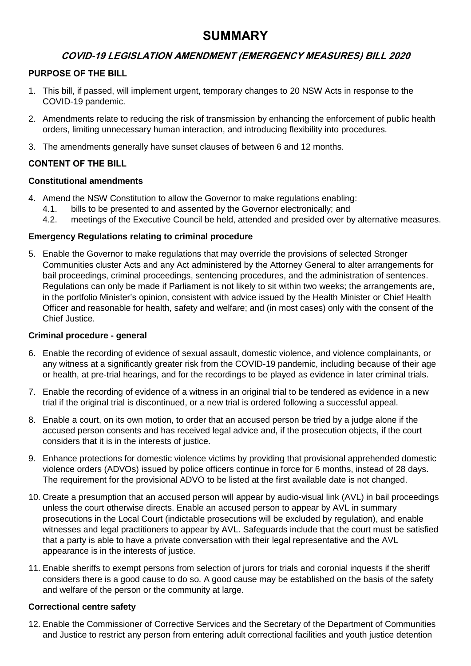# **SUMMARY**

# **COVID-19 LEGISLATION AMENDMENT (EMERGENCY MEASURES) BILL 2020**

## **PURPOSE OF THE BILL**

- 1. This bill, if passed, will implement urgent, temporary changes to 20 NSW Acts in response to the COVID-19 pandemic.
- 2. Amendments relate to reducing the risk of transmission by enhancing the enforcement of public health orders, limiting unnecessary human interaction, and introducing flexibility into procedures.
- 3. The amendments generally have sunset clauses of between 6 and 12 months.

## **CONTENT OF THE BILL**

#### **Constitutional amendments**

- 4. Amend the NSW Constitution to allow the Governor to make regulations enabling:
	- 4.1. bills to be presented to and assented by the Governor electronically; and
	- 4.2. meetings of the Executive Council be held, attended and presided over by alternative measures.

#### **Emergency Regulations relating to criminal procedure**

5. Enable the Governor to make regulations that may override the provisions of selected Stronger Communities cluster Acts and any Act administered by the Attorney General to alter arrangements for bail proceedings, criminal proceedings, sentencing procedures, and the administration of sentences. Regulations can only be made if Parliament is not likely to sit within two weeks; the arrangements are, in the portfolio Minister's opinion, consistent with advice issued by the Health Minister or Chief Health Officer and reasonable for health, safety and welfare; and (in most cases) only with the consent of the Chief Justice.

#### **Criminal procedure - general**

- 6. Enable the recording of evidence of sexual assault, domestic violence, and violence complainants, or any witness at a significantly greater risk from the COVID-19 pandemic, including because of their age or health, at pre-trial hearings, and for the recordings to be played as evidence in later criminal trials.
- 7. Enable the recording of evidence of a witness in an original trial to be tendered as evidence in a new trial if the original trial is discontinued, or a new trial is ordered following a successful appeal.
- 8. Enable a court, on its own motion, to order that an accused person be tried by a judge alone if the accused person consents and has received legal advice and, if the prosecution objects, if the court considers that it is in the interests of justice.
- 9. Enhance protections for domestic violence victims by providing that provisional apprehended domestic violence orders (ADVOs) issued by police officers continue in force for 6 months, instead of 28 days. The requirement for the provisional ADVO to be listed at the first available date is not changed.
- 10. Create a presumption that an accused person will appear by audio-visual link (AVL) in bail proceedings unless the court otherwise directs. Enable an accused person to appear by AVL in summary prosecutions in the Local Court (indictable prosecutions will be excluded by regulation), and enable witnesses and legal practitioners to appear by AVL. Safeguards include that the court must be satisfied that a party is able to have a private conversation with their legal representative and the AVL appearance is in the interests of justice.
- 11. Enable sheriffs to exempt persons from selection of jurors for trials and coronial inquests if the sheriff considers there is a good cause to do so. A good cause may be established on the basis of the safety and welfare of the person or the community at large.

#### **Correctional centre safety**

12. Enable the Commissioner of Corrective Services and the Secretary of the Department of Communities and Justice to restrict any person from entering adult correctional facilities and youth justice detention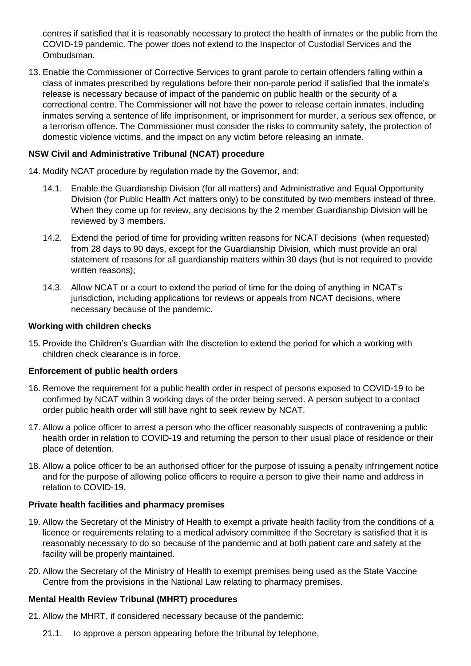centres if satisfied that it is reasonably necessary to protect the health of inmates or the public from the COVID-19 pandemic. The power does not extend to the Inspector of Custodial Services and the Ombudsman.

13. Enable the Commissioner of Corrective Services to grant parole to certain offenders falling within a class of inmates prescribed by regulations before their non-parole period if satisfied that the inmate's release is necessary because of impact of the pandemic on public health or the security of a correctional centre. The Commissioner will not have the power to release certain inmates, including inmates serving a sentence of life imprisonment, or imprisonment for murder, a serious sex offence, or a terrorism offence. The Commissioner must consider the risks to community safety, the protection of domestic violence victims, and the impact on any victim before releasing an inmate.

## **NSW Civil and Administrative Tribunal (NCAT) procedure**

- 14. Modify NCAT procedure by regulation made by the Governor, and:
	- 14.1. Enable the Guardianship Division (for all matters) and Administrative and Equal Opportunity Division (for Public Health Act matters only) to be constituted by two members instead of three. When they come up for review, any decisions by the 2 member Guardianship Division will be reviewed by 3 members.
	- 14.2. Extend the period of time for providing written reasons for NCAT decisions (when requested) from 28 days to 90 days, except for the Guardianship Division, which must provide an oral statement of reasons for all guardianship matters within 30 days (but is not required to provide written reasons);
	- 14.3. Allow NCAT or a court to extend the period of time for the doing of anything in NCAT's jurisdiction, including applications for reviews or appeals from NCAT decisions, where necessary because of the pandemic.

## **Working with children checks**

15. Provide the Children's Guardian with the discretion to extend the period for which a working with children check clearance is in force.

#### **Enforcement of public health orders**

- 16. Remove the requirement for a public health order in respect of persons exposed to COVID-19 to be confirmed by NCAT within 3 working days of the order being served. A person subject to a contact order public health order will still have right to seek review by NCAT.
- 17. Allow a police officer to arrest a person who the officer reasonably suspects of contravening a public health order in relation to COVID-19 and returning the person to their usual place of residence or their place of detention.
- 18. Allow a police officer to be an authorised officer for the purpose of issuing a penalty infringement notice and for the purpose of allowing police officers to require a person to give their name and address in relation to COVID-19.

# **Private health facilities and pharmacy premises**

- 19. Allow the Secretary of the Ministry of Health to exempt a private health facility from the conditions of a licence or requirements relating to a medical advisory committee if the Secretary is satisfied that it is reasonably necessary to do so because of the pandemic and at both patient care and safety at the facility will be properly maintained.
- 20. Allow the Secretary of the Ministry of Health to exempt premises being used as the State Vaccine Centre from the provisions in the National Law relating to pharmacy premises.

# **Mental Health Review Tribunal (MHRT) procedures**

- 21. Allow the MHRT, if considered necessary because of the pandemic:
	- 21.1. to approve a person appearing before the tribunal by telephone,